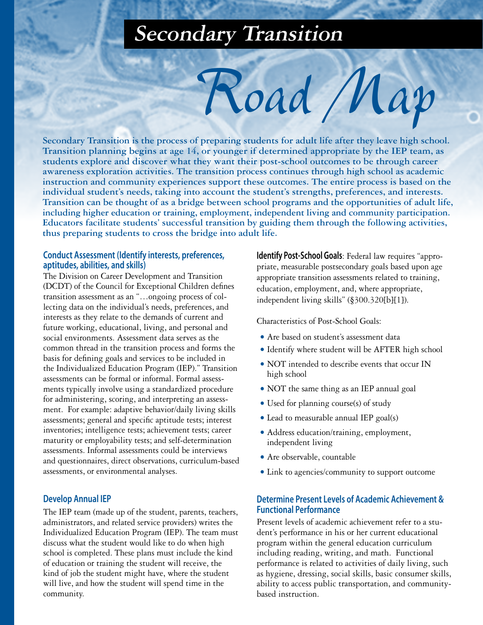# **Secondary Transition**

**Secondary Transition is the process of preparing students for adult life after they leave high school. Transition planning begins at age 14, or younger if determined appropriate by the IEP team, as students explore and discover what they want their post-school outcomes to be through career awareness exploration activities. The transition process continues through high school as academic instruction and community experiences support these outcomes. The entire process is based on the individual student's needs, taking into account the student's strengths, preferences, and interests. Transition can be thought of as a bridge between school programs and the opportunities of adult life, including higher education or training, employment, independent living and community participation. Educators facilitate students' successful transition by guiding them through the following activities, thus preparing students to cross the bridge into adult life.**

### **Conduct Assessment (Identify interests, preferences, aptitudes, abilities, and skills)**

The Division on Career Development and Transition (DCDT) of the Council for Exceptional Children defines transition assessment as an "…ongoing process of collecting data on the individual's needs, preferences, and interests as they relate to the demands of current and future working, educational, living, and personal and social environments. Assessment data serves as the common thread in the transition process and forms the basis for defining goals and services to be included in the Individualized Education Program (IEP)." Transition assessments can be formal or informal. Formal assessments typically involve using a standardized procedure for administering, scoring, and interpreting an assessment. For example: adaptive behavior/daily living skills assessments; general and specific aptitude tests; interest inventories; intelligence tests; achievement tests; career maturity or employability tests; and self-determination assessments. Informal assessments could be interviews and questionnaires, direct observations, curriculum-based assessments, or environmental analyses.

### **Develop Annual IEP**

The IEP team (made up of the student, parents, teachers, administrators, and related service providers) writes the Individualized Education Program (IEP). The team must discuss what the student would like to do when high school is completed. These plans must include the kind of education or training the student will receive, the kind of job the student might have, where the student will live, and how the student will spend time in the community.

**Identify Post-School Goals**: Federal law requires "appropriate, measurable postsecondary goals based upon age appropriate transition assessments related to training, education, employment, and, where appropriate, independent living skills" (§300.320[b][1]).

Characteristics of Post-School Goals:

*Road Map*

- Are based on student's assessment data
- Identify where student will be AFTER high school
- NOT intended to describe events that occur IN high school
- NOT the same thing as an IEP annual goal
- Used for planning course(s) of study
- Lead to measurable annual IEP goal(s)
- Address education/training, employment, independent living
- Are observable, countable
- Link to agencies/community to support outcome

## **Determine Present Levels of Academic Achievement & Functional Performance**

Present levels of academic achievement refer to a student's performance in his or her current educational program within the general education curriculum including reading, writing, and math. Functional performance is related to activities of daily living, such as hygiene, dressing, social skills, basic consumer skills, ability to access public transportation, and communitybased instruction.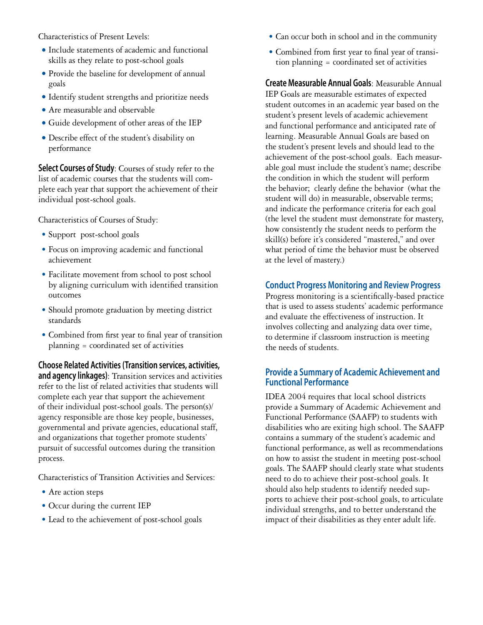Characteristics of Present Levels:

- Include statements of academic and functional skills as they relate to post-school goals
- Provide the baseline for development of annual goals
- Identify student strengths and prioritize needs
- Are measurable and observable
- Guide development of other areas of the IEP
- Describe effect of the student's disability on performance

**Select Courses of Study:** Courses of study refer to the list of academic courses that the students will complete each year that support the achievement of their individual post-school goals.

Characteristics of Courses of Study:

- Support post-school goals
- Focus on improving academic and functional achievement
- Facilitate movement from school to post school by aligning curriculum with identified transition outcomes
- Should promote graduation by meeting district standards
- Combined from first year to final year of transition planning = coordinated set of activities

**Choose Related Activities (Transition services, activities, and agency linkages)**: Transition services and activities refer to the list of related activities that students will complete each year that support the achievement of their individual post-school goals. The person(s)/ agency responsible are those key people, businesses, governmental and private agencies, educational staff, and organizations that together promote students' pursuit of successful outcomes during the transition process.

Characteristics of Transition Activities and Services:

- Are action steps
- Occur during the current IEP
- Lead to the achievement of post-school goals
- Can occur both in school and in the community
- Combined from first year to final year of transition planning = coordinated set of activities

**Create Measurable Annual Goals**: Measurable Annual IEP Goals are measurable estimates of expected student outcomes in an academic year based on the student's present levels of academic achievement and functional performance and anticipated rate of learning. Measurable Annual Goals are based on the student's present levels and should lead to the achievement of the post-school goals. Each measurable goal must include the student's name; describe the condition in which the student will perform the behavior; clearly define the behavior (what the student will do) in measurable, observable terms; and indicate the performance criteria for each goal (the level the student must demonstrate for mastery, how consistently the student needs to perform the skill(s) before it's considered "mastered," and over what period of time the behavior must be observed at the level of mastery.)

## **Conduct Progress Monitoring and Review Progress**

Progress monitoring is a scientifically-based practice that is used to assess students' academic performance and evaluate the effectiveness of instruction. It involves collecting and analyzing data over time, to determine if classroom instruction is meeting the needs of students.

# **Provide a Summary of Academic Achievement and Functional Performance**

IDEA 2004 requires that local school districts provide a Summary of Academic Achievement and Functional Performance (SAAFP) to students with disabilities who are exiting high school. The SAAFP contains a summary of the student's academic and functional performance, as well as recommendations on how to assist the student in meeting post-school goals. The SAAFP should clearly state what students need to do to achieve their post-school goals. It should also help students to identify needed supports to achieve their post-school goals, to articulate individual strengths, and to better understand the impact of their disabilities as they enter adult life.